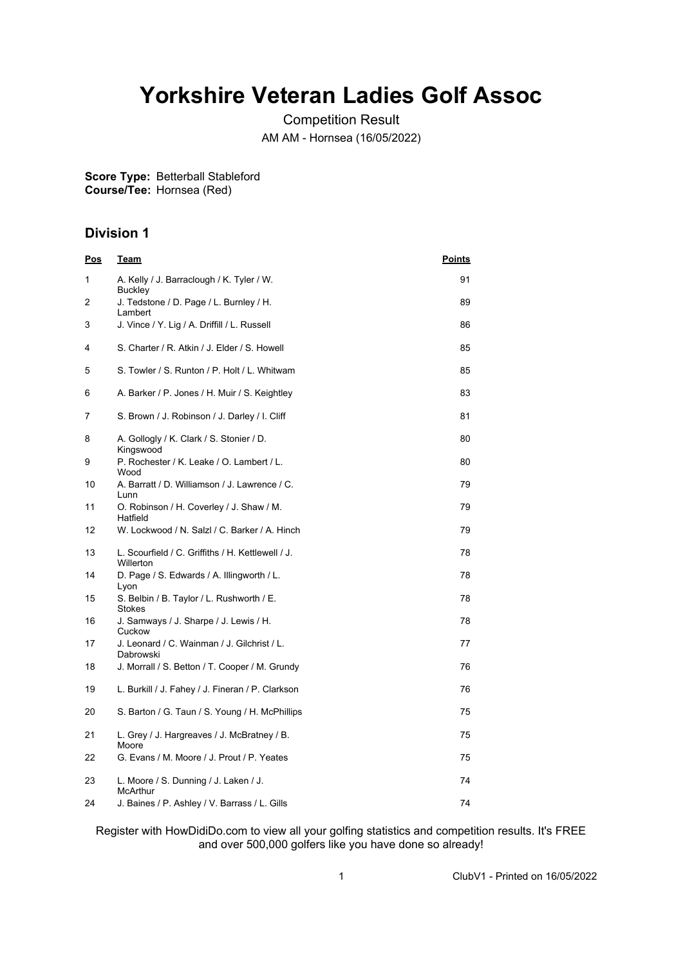## **Yorkshire Veteran Ladies Golf Assoc**

Competition Result AM AM - Hornsea (16/05/2022)

**Score Type:** Betterball Stableford **Course/Tee:** Hornsea (Red)

## **Division 1**

| <u>Pos</u> | <u>Team</u>                                                           | <u>Points</u> |
|------------|-----------------------------------------------------------------------|---------------|
| 1          | A. Kelly / J. Barraclough / K. Tyler / W.<br>Buckley                  | 91            |
| 2          | J. Tedstone / D. Page / L. Burnley / H.<br>Lambert                    | 89            |
| 3          | J. Vince / Y. Lig / A. Driffill / L. Russell                          | 86            |
| 4          | S. Charter / R. Atkin / J. Elder / S. Howell                          | 85            |
| 5          | S. Towler / S. Runton / P. Holt / L. Whitwam                          | 85            |
| 6          | A. Barker / P. Jones / H. Muir / S. Keightley                         | 83            |
| 7          | S. Brown / J. Robinson / J. Darley / I. Cliff                         | 81            |
| 8          | A. Gollogly / K. Clark / S. Stonier / D.<br>Kingswood                 | 80            |
| 9          | P. Rochester / K. Leake / O. Lambert / L.<br>Wood                     | 80            |
| 10         | A. Barratt / D. Williamson / J. Lawrence / C.<br>Lunn                 | 79            |
| 11         | O. Robinson / H. Coverley / J. Shaw / M.<br>Hatfield                  | 79            |
| 12         | W. Lockwood / N. Salzl / C. Barker / A. Hinch                         | 79            |
| 13         | L. Scourfield / C. Griffiths / H. Kettlewell / J.<br><b>Willerton</b> | 78            |
| 14         | D. Page / S. Edwards / A. Illingworth / L.<br>Lyon                    | 78            |
| 15         | S. Belbin / B. Taylor / L. Rushworth / E.<br><b>Stokes</b>            | 78            |
| 16         | J. Samways / J. Sharpe / J. Lewis / H.<br>Cuckow                      | 78            |
| 17         | J. Leonard / C. Wainman / J. Gilchrist / L.<br>Dabrowski              | 77            |
| 18         | J. Morrall / S. Betton / T. Cooper / M. Grundy                        | 76            |
| 19         | L. Burkill / J. Fahey / J. Fineran / P. Clarkson                      | 76            |
| 20         | S. Barton / G. Taun / S. Young / H. McPhillips                        | 75            |
| 21         | L. Grey / J. Hargreaves / J. McBratney / B.<br>Moore                  | 75            |
| 22         | G. Evans / M. Moore / J. Prout / P. Yeates                            | 75            |
| 23         | L. Moore / S. Dunning / J. Laken / J.<br><b>McArthur</b>              | 74            |
| 24         | J. Baines / P. Ashley / V. Barrass / L. Gills                         | 74            |

Register with HowDidiDo.com to view all your golfing statistics and competition results. It's FREE and over 500,000 golfers like you have done so already!